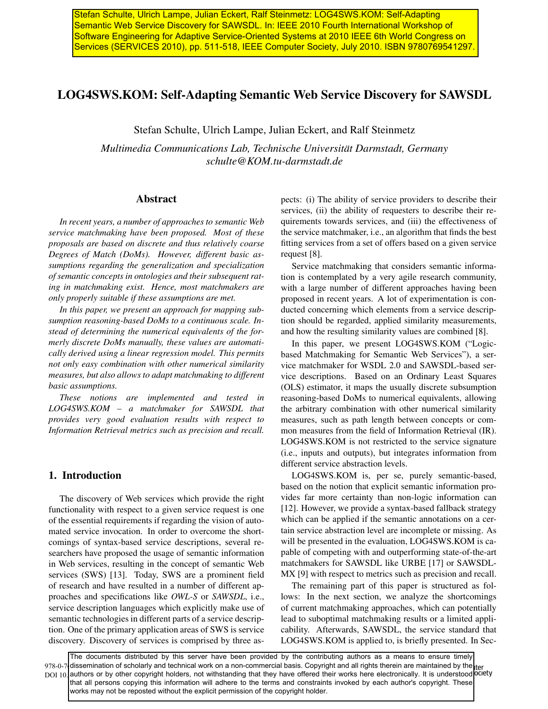Services (SERVICES 2010), pp. 511-518, IEEE Computer Society, July 2010. ISBN 9780769541297. Semantic Web Service Discovery for SAWSDL. In: IEEE 2010 Fourth International Workshop of Software Engineering for Adaptive Service-Oriented Systems at 2010 IEEE 6th World Congress on

# LOG4SWS.KOM: Self-Adapting Semantic Web Service Discovery for SAWSDL

Stefan Schulte, Ulrich Lampe, Julian Eckert, and Ralf Steinmetz

*Multimedia Communications Lab, Technische Universitat Darmstadt, Germany ¨ schulte@KOM.tu-darmstadt.de*

#### Abstract

*In recent years, a number of approaches to semantic Web service matchmaking have been proposed. Most of these proposals are based on discrete and thus relatively coarse Degrees of Match (DoMs). However, different basic assumptions regarding the generalization and specialization of semantic concepts in ontologies and their subsequent rating in matchmaking exist. Hence, most matchmakers are only properly suitable if these assumptions are met.*

*In this paper, we present an approach for mapping subsumption reasoning-based DoMs to a continuous scale. Instead of determining the numerical equivalents of the formerly discrete DoMs manually, these values are automatically derived using a linear regression model. This permits not only easy combination with other numerical similarity measures, but also allows to adapt matchmaking to different basic assumptions.*

*These notions are implemented and tested in LOG4SWS.KOM – a matchmaker for SAWSDL that provides very good evaluation results with respect to Information Retrieval metrics such as precision and recall.*

## 1. Introduction

The discovery of Web services which provide the right functionality with respect to a given service request is one of the essential requirements if regarding the vision of automated service invocation. In order to overcome the shortcomings of syntax-based service descriptions, several researchers have proposed the usage of semantic information in Web services, resulting in the concept of semantic Web services (SWS) [13]. Today, SWS are a prominent field of research and have resulted in a number of different approaches and specifications like *OWL-S* or *SAWSDL*, i.e., service description languages which explicitly make use of semantic technologies in different parts of a service description. One of the primary application areas of SWS is service discovery. Discovery of services is comprised by three as-Stefan Schulte, Ulrich Lampe, Julian Eckert, Stefan Schulter, Ulrich Lampe, Stefan Schulter, Ulrich Lampe, 10 Stefan Schulter, Ralf Stefan Schulter, Ralf Stefan Schulter, Ralf Stefan Schulter, Ralf Stefan Schulter, Ralf S

pects: (i) The ability of service providers to describe their services, (ii) the ability of requesters to describe their requirements towards services, and (iii) the effectiveness of the service matchmaker, i.e., an algorithm that finds the best fitting services from a set of offers based on a given service request [8].

Service matchmaking that considers semantic information is contemplated by a very agile research community, with a large number of different approaches having been proposed in recent years. A lot of experimentation is conducted concerning which elements from a service description should be regarded, applied similarity measurements, and how the resulting similarity values are combined [8].

In this paper, we present LOG4SWS.KOM ("Logicbased Matchmaking for Semantic Web Services"), a service matchmaker for WSDL 2.0 and SAWSDL-based service descriptions. Based on an Ordinary Least Squares (OLS) estimator, it maps the usually discrete subsumption reasoning-based DoMs to numerical equivalents, allowing the arbitrary combination with other numerical similarity measures, such as path length between concepts or common measures from the field of Information Retrieval (IR). LOG4SWS.KOM is not restricted to the service signature (i.e., inputs and outputs), but integrates information from different service abstraction levels.

LOG4SWS.KOM is, per se, purely semantic-based, based on the notion that explicit semantic information provides far more certainty than non-logic information can [12]. However, we provide a syntax-based fallback strategy which can be applied if the semantic annotations on a certain service abstraction level are incomplete or missing. As will be presented in the evaluation, LOG4SWS.KOM is capable of competing with and outperforming state-of-the-art matchmakers for SAWSDL like URBE [17] or SAWSDL-MX [9] with respect to metrics such as precision and recall.

The remaining part of this paper is structured as follows: In the next section, we analyze the shortcomings of current matchmaking approaches, which can potentially lead to suboptimal matchmaking results or a limited applicability. Afterwards, SAWSDL, the service standard that LOG4SWS.KOM is applied to, is briefly presented. In Sec-

978-0-7|dissemination of scholarly and technical work on a non-commercial basis. Copyright and all rights therein are maintained by the DOI 10. authors or by other copyright holders, not withstanding that they have offered their works here electronically. It is understood The documents distributed by this server have been provided by the contributing authors as a means to ensure timely that all persons copying this information will adhere to the terms and constraints invoked by each author's copyright. These works may not be reposted without the explicit permission of the copyright holder.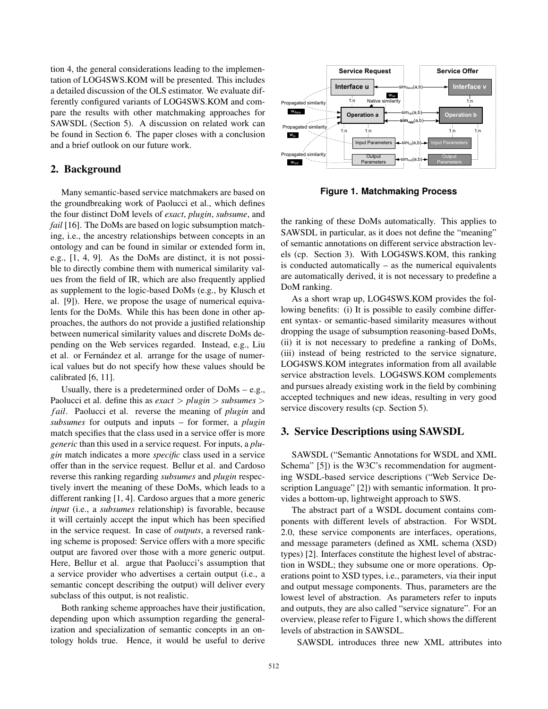tion 4, the general considerations leading to the implementation of LOG4SWS.KOM will be presented. This includes a detailed discussion of the OLS estimator. We evaluate differently configured variants of LOG4SWS.KOM and compare the results with other matchmaking approaches for SAWSDL (Section 5). A discussion on related work can be found in Section 6. The paper closes with a conclusion and a brief outlook on our future work.

## 2. Background

Many semantic-based service matchmakers are based on the groundbreaking work of Paolucci et al., which defines the four distinct DoM levels of *exact*, *plugin*, *subsume*, and *fail* [16]. The DoMs are based on logic subsumption matching, i.e., the ancestry relationships between concepts in an ontology and can be found in similar or extended form in, e.g., [1, 4, 9]. As the DoMs are distinct, it is not possible to directly combine them with numerical similarity values from the field of IR, which are also frequently applied as supplement to the logic-based DoMs (e.g., by Klusch et al. [9]). Here, we propose the usage of numerical equivalents for the DoMs. While this has been done in other approaches, the authors do not provide a justified relationship between numerical similarity values and discrete DoMs depending on the Web services regarded. Instead, e.g., Liu et al. or Fernández et al. arrange for the usage of numerical values but do not specify how these values should be calibrated [6, 11].

Usually, there is a predetermined order of DoMs – e.g., Paolucci et al. define this as *exact* > *plugin* > *subsumes* > *f ail*. Paolucci et al. reverse the meaning of *plugin* and *subsumes* for outputs and inputs – for former, a *plugin* match specifies that the class used in a service offer is more *generic* than this used in a service request. For inputs, a *plugin* match indicates a more *specific* class used in a service offer than in the service request. Bellur et al. and Cardoso reverse this ranking regarding *subsumes* and *plugin* respectively invert the meaning of these DoMs, which leads to a different ranking [1, 4]. Cardoso argues that a more generic *input* (i.e., a *subsumes* relationship) is favorable, because it will certainly accept the input which has been specified in the service request. In case of *outputs*, a reversed ranking scheme is proposed: Service offers with a more specific output are favored over those with a more generic output. Here, Bellur et al. argue that Paolucci's assumption that a service provider who advertises a certain output (i.e., a semantic concept describing the output) will deliver every subclass of this output, is not realistic.

Both ranking scheme approaches have their justification, depending upon which assumption regarding the generalization and specialization of semantic concepts in an ontology holds true. Hence, it would be useful to derive



**Figure 1. Matchmaking Process**

the ranking of these DoMs automatically. This applies to SAWSDL in particular, as it does not define the "meaning" of semantic annotations on different service abstraction levels (cp. Section 3). With LOG4SWS.KOM, this ranking is conducted automatically – as the numerical equivalents are automatically derived, it is not necessary to predefine a DoM ranking.

As a short wrap up, LOG4SWS.KOM provides the following benefits: (i) It is possible to easily combine different syntax- or semantic-based similarity measures without dropping the usage of subsumption reasoning-based DoMs, (ii) it is not necessary to predefine a ranking of DoMs, (iii) instead of being restricted to the service signature, LOG4SWS.KOM integrates information from all available service abstraction levels. LOG4SWS.KOM complements and pursues already existing work in the field by combining accepted techniques and new ideas, resulting in very good service discovery results (cp. Section 5).

#### 3. Service Descriptions using SAWSDL

SAWSDL ("Semantic Annotations for WSDL and XML Schema" [5]) is the W3C's recommendation for augmenting WSDL-based service descriptions ("Web Service Description Language" [2]) with semantic information. It provides a bottom-up, lightweight approach to SWS.

The abstract part of a WSDL document contains components with different levels of abstraction. For WSDL 2.0, these service components are interfaces, operations, and message parameters (defined as XML schema (XSD) types) [2]. Interfaces constitute the highest level of abstraction in WSDL; they subsume one or more operations. Operations point to XSD types, i.e., parameters, via their input and output message components. Thus, parameters are the lowest level of abstraction. As parameters refer to inputs and outputs, they are also called "service signature". For an overview, please refer to Figure 1, which shows the different levels of abstraction in SAWSDL.

SAWSDL introduces three new XML attributes into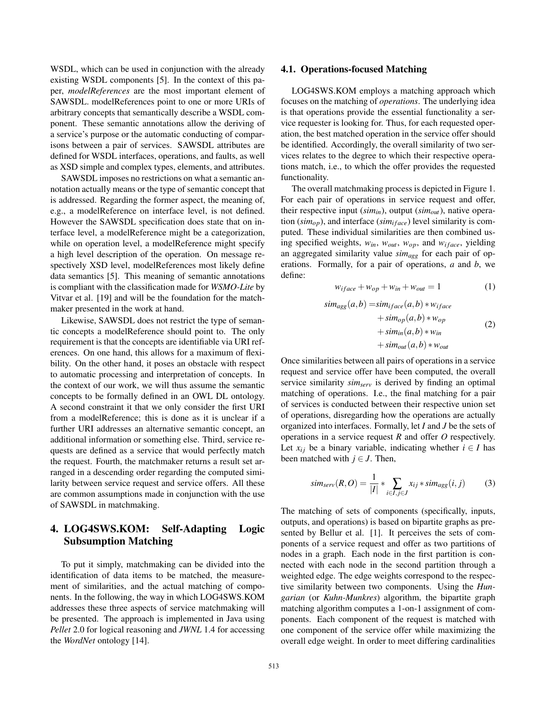WSDL, which can be used in conjunction with the already existing WSDL components [5]. In the context of this paper, *modelReferences* are the most important element of SAWSDL. modelReferences point to one or more URIs of arbitrary concepts that semantically describe a WSDL component. These semantic annotations allow the deriving of a service's purpose or the automatic conducting of comparisons between a pair of services. SAWSDL attributes are defined for WSDL interfaces, operations, and faults, as well as XSD simple and complex types, elements, and attributes.

SAWSDL imposes no restrictions on what a semantic annotation actually means or the type of semantic concept that is addressed. Regarding the former aspect, the meaning of, e.g., a modelReference on interface level, is not defined. However the SAWSDL specification does state that on interface level, a modelReference might be a categorization, while on operation level, a modelReference might specify a high level description of the operation. On message respectively XSD level, modelReferences most likely define data semantics [5]. This meaning of semantic annotations is compliant with the classification made for *WSMO-Lite* by Vitvar et al. [19] and will be the foundation for the matchmaker presented in the work at hand.

Likewise, SAWSDL does not restrict the type of semantic concepts a modelReference should point to. The only requirement is that the concepts are identifiable via URI references. On one hand, this allows for a maximum of flexibility. On the other hand, it poses an obstacle with respect to automatic processing and interpretation of concepts. In the context of our work, we will thus assume the semantic concepts to be formally defined in an OWL DL ontology. A second constraint it that we only consider the first URI from a modelReference; this is done as it is unclear if a further URI addresses an alternative semantic concept, an additional information or something else. Third, service requests are defined as a service that would perfectly match the request. Fourth, the matchmaker returns a result set arranged in a descending order regarding the computed similarity between service request and service offers. All these are common assumptions made in conjunction with the use of SAWSDL in matchmaking.

# 4. LOG4SWS.KOM: Self-Adapting Logic Subsumption Matching

To put it simply, matchmaking can be divided into the identification of data items to be matched, the measurement of similarities, and the actual matching of components. In the following, the way in which LOG4SWS.KOM addresses these three aspects of service matchmaking will be presented. The approach is implemented in Java using *Pellet* 2.0 for logical reasoning and *JWNL* 1.4 for accessing the *WordNet* ontology [14].

#### 4.1. Operations-focused Matching

LOG4SWS.KOM employs a matching approach which focuses on the matching of *operations*. The underlying idea is that operations provide the essential functionality a service requester is looking for. Thus, for each requested operation, the best matched operation in the service offer should be identified. Accordingly, the overall similarity of two services relates to the degree to which their respective operations match, i.e., to which the offer provides the requested functionality.

The overall matchmaking process is depicted in Figure 1. For each pair of operations in service request and offer, their respective input (*sim<sub>in</sub>*), output (*sim<sub>out</sub>*), native operation ( $\sin n_{op}$ ), and interface ( $\sin n_{iface}$ ) level similarity is computed. These individual similarities are then combined using specified weights,  $w_{in}$ ,  $w_{out}$ ,  $w_{op}$ , and  $w_{iface}$ , yielding an aggregated similarity value *simagg* for each pair of operations. Formally, for a pair of operations, *a* and *b*, we define:

$$
w_{iface} + w_{op} + w_{in} + w_{out} = 1
$$
 (1)

$$
sim_{agg}(a,b) = sim_{iface}(a,b) * w_{iface}
$$
  
+ 
$$
sim_{op}(a,b) * w_{op}
$$
  
+ 
$$
sim_{in}(a,b) * w_{in}
$$
  
+ 
$$
sim_{out}(a,b) * w_{out}
$$
 (2)

Once similarities between all pairs of operations in a service request and service offer have been computed, the overall service similarity *simserv* is derived by finding an optimal matching of operations. I.e., the final matching for a pair of services is conducted between their respective union set of operations, disregarding how the operations are actually organized into interfaces. Formally, let *I* and *J* be the sets of operations in a service request *R* and offer *O* respectively. Let  $x_{ij}$  be a binary variable, indicating whether  $i \in I$  has been matched with  $j \in J$ . Then,

$$
sim_{serv}(R, O) = \frac{1}{|I|} * \sum_{i \in I, j \in J} x_{ij} * sim_{agg}(i, j)
$$
 (3)

The matching of sets of components (specifically, inputs, outputs, and operations) is based on bipartite graphs as presented by Bellur et al. [1]. It perceives the sets of components of a service request and offer as two partitions of nodes in a graph. Each node in the first partition is connected with each node in the second partition through a weighted edge. The edge weights correspond to the respective similarity between two components. Using the *Hungarian* (or *Kuhn-Munkres*) algorithm, the bipartite graph matching algorithm computes a 1-on-1 assignment of components. Each component of the request is matched with one component of the service offer while maximizing the overall edge weight. In order to meet differing cardinalities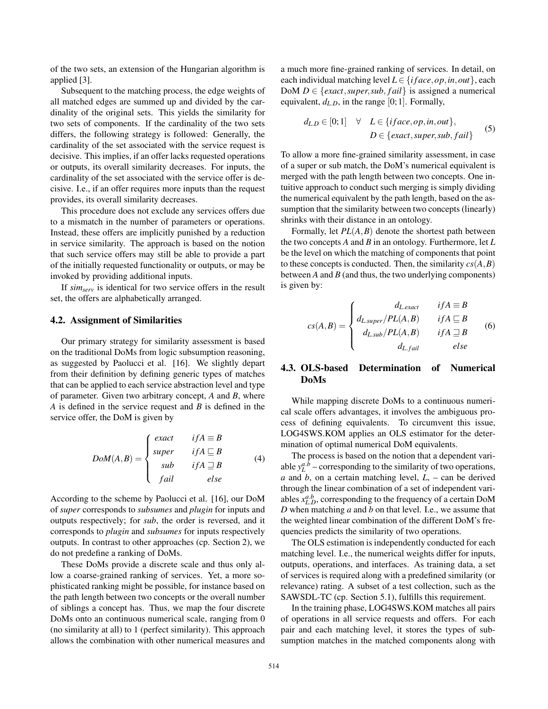of the two sets, an extension of the Hungarian algorithm is applied [3].

Subsequent to the matching process, the edge weights of all matched edges are summed up and divided by the cardinality of the original sets. This yields the similarity for two sets of components. If the cardinality of the two sets differs, the following strategy is followed: Generally, the cardinality of the set associated with the service request is decisive. This implies, if an offer lacks requested operations or outputs, its overall similarity decreases. For inputs, the cardinality of the set associated with the service offer is decisive. I.e., if an offer requires more inputs than the request provides, its overall similarity decreases.

This procedure does not exclude any services offers due to a mismatch in the number of parameters or operations. Instead, these offers are implicitly punished by a reduction in service similarity. The approach is based on the notion that such service offers may still be able to provide a part of the initially requested functionality or outputs, or may be invoked by providing additional inputs.

If *simserv* is identical for two service offers in the result set, the offers are alphabetically arranged.

#### 4.2. Assignment of Similarities

Our primary strategy for similarity assessment is based on the traditional DoMs from logic subsumption reasoning, as suggested by Paolucci et al. [16]. We slightly depart from their definition by defining generic types of matches that can be applied to each service abstraction level and type of parameter. Given two arbitrary concept, *A* and *B*, where *A* is defined in the service request and *B* is defined in the service offer, the DoM is given by

$$
DoM(A,B) = \begin{cases} exact & if A \equiv B \\ super & if A \subseteq B \\ sub & if A \supseteq B \\ fail & else \end{cases}
$$
 (4)

According to the scheme by Paolucci et al. [16], our DoM of *super* corresponds to *subsumes* and *plugin* for inputs and outputs respectively; for *sub*, the order is reversed, and it corresponds to *plugin* and *subsumes* for inputs respectively outputs. In contrast to other approaches (cp. Section 2), we do not predefine a ranking of DoMs.

These DoMs provide a discrete scale and thus only allow a coarse-grained ranking of services. Yet, a more sophisticated ranking might be possible, for instance based on the path length between two concepts or the overall number of siblings a concept has. Thus, we map the four discrete DoMs onto an continuous numerical scale, ranging from 0 (no similarity at all) to 1 (perfect similarity). This approach allows the combination with other numerical measures and

a much more fine-grained ranking of services. In detail, on each individual matching level  $L \in \{if ace, op, in, out\}$ , each DoM  $D \in \{exact, super, sub, fail\}$  is assigned a numerical equivalent,  $d_{L,D}$ , in the range [0; 1]. Formally,

$$
d_{L,D} \in [0;1] \quad \forall \quad L \in \{iface, op, in, out\},
$$

$$
D \in \{exact, super, sub, fail\} \tag{5}
$$

To allow a more fine-grained similarity assessment, in case of a super or sub match, the DoM's numerical equivalent is merged with the path length between two concepts. One intuitive approach to conduct such merging is simply dividing the numerical equivalent by the path length, based on the assumption that the similarity between two concepts (linearly) shrinks with their distance in an ontology.

Formally, let *PL*(*A*,*B*) denote the shortest path between the two concepts *A* and *B* in an ontology. Furthermore, let *L* be the level on which the matching of components that point to these concepts is conducted. Then, the similarity  $cs(A, B)$ between *A* and *B* (and thus, the two underlying components) is given by:

$$
cs(A,B) = \begin{cases} d_{L\text{exact}} & if A \equiv B \\ d_{L\text{super}}/PL(A,B) & if A \sqsubseteq B \\ d_{L\text{sub}}/PL(A,B) & if A \sqsupseteq B \\ d_{L\text{sub}}/PL(A,B) & if A \sqsupseteq B \end{cases} \tag{6}
$$

## 4.3. OLS-based Determination of Numerical DoMs

While mapping discrete DoMs to a continuous numerical scale offers advantages, it involves the ambiguous process of defining equivalents. To circumvent this issue, LOG4SWS.KOM applies an OLS estimator for the determination of optimal numerical DoM equivalents.

The process is based on the notion that a dependent variable  $y_L^{a,b}$  – corresponding to the similarity of two operations, *a* and *b*, on a certain matching level, *L*, – can be derived through the linear combination of a set of independent variables *xa*.*<sup>b</sup> <sup>L</sup>*.*D*, corresponding to the frequency of a certain DoM *D* when matching *a* and *b* on that level. I.e., we assume that the weighted linear combination of the different DoM's frequencies predicts the similarity of two operations.

The OLS estimation is independently conducted for each matching level. I.e., the numerical weights differ for inputs, outputs, operations, and interfaces. As training data, a set of services is required along with a predefined similarity (or relevance) rating. A subset of a test collection, such as the SAWSDL-TC (cp. Section 5.1), fulfills this requirement.

In the training phase, LOG4SWS.KOM matches all pairs of operations in all service requests and offers. For each pair and each matching level, it stores the types of subsumption matches in the matched components along with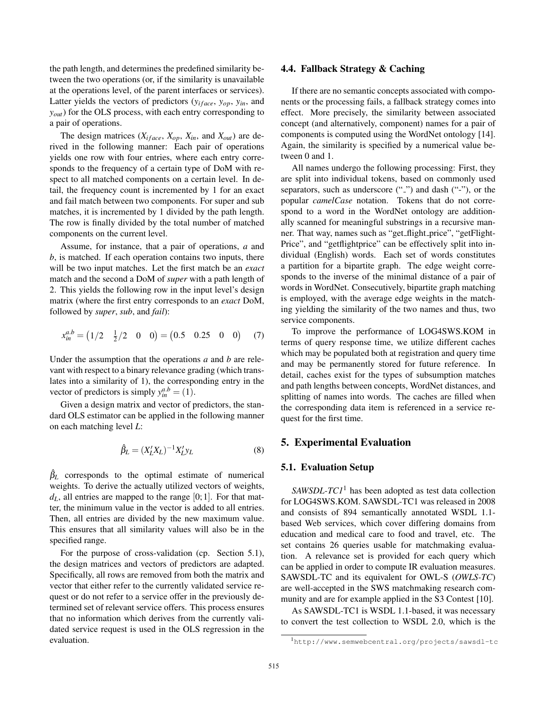the path length, and determines the predefined similarity between the two operations (or, if the similarity is unavailable at the operations level, of the parent interfaces or services). Latter yields the vectors of predictors  $(y_{iface}, y_{op}, y_{in},$  and *yout*) for the OLS process, with each entry corresponding to a pair of operations.

The design matrices  $(X_{iface}, X_{op}, X_{in}, \text{ and } X_{out})$  are derived in the following manner: Each pair of operations yields one row with four entries, where each entry corresponds to the frequency of a certain type of DoM with respect to all matched components on a certain level. In detail, the frequency count is incremented by 1 for an exact and fail match between two components. For super and sub matches, it is incremented by 1 divided by the path length. The row is finally divided by the total number of matched components on the current level.

Assume, for instance, that a pair of operations, *a* and *b*, is matched. If each operation contains two inputs, there will be two input matches. Let the first match be an *exact* match and the second a DoM of *super* with a path length of 2. This yields the following row in the input level's design matrix (where the first entry corresponds to an *exact* DoM, followed by *super*, *sub*, and *fail*):

$$
x_{in}^{a.b} = (1/2 \quad \frac{1}{2}/2 \quad 0 \quad 0) = (0.5 \quad 0.25 \quad 0 \quad 0) \tag{7}
$$

Under the assumption that the operations *a* and *b* are relevant with respect to a binary relevance grading (which translates into a similarity of 1), the corresponding entry in the vector of predictors is simply  $y_{in}^{a,b} = (1)$ .

Given a design matrix and vector of predictors, the standard OLS estimator can be applied in the following manner on each matching level *L*:

$$
\hat{\beta}_L = (X_L' X_L)^{-1} X_L' y_L \tag{8}
$$

 $\hat{\beta}_L$  corresponds to the optimal estimate of numerical weights. To derive the actually utilized vectors of weights,  $d<sub>L</sub>$ , all entries are mapped to the range [0; 1]. For that matter, the minimum value in the vector is added to all entries. Then, all entries are divided by the new maximum value. This ensures that all similarity values will also be in the specified range.

For the purpose of cross-validation (cp. Section 5.1), the design matrices and vectors of predictors are adapted. Specifically, all rows are removed from both the matrix and vector that either refer to the currently validated service request or do not refer to a service offer in the previously determined set of relevant service offers. This process ensures that no information which derives from the currently validated service request is used in the OLS regression in the evaluation.

## 4.4. Fallback Strategy & Caching

If there are no semantic concepts associated with components or the processing fails, a fallback strategy comes into effect. More precisely, the similarity between associated concept (and alternatively, component) names for a pair of components is computed using the WordNet ontology [14]. Again, the similarity is specified by a numerical value between 0 and 1.

All names undergo the following processing: First, they are split into individual tokens, based on commonly used separators, such as underscore ("-") and dash ("-"), or the popular *camelCase* notation. Tokens that do not correspond to a word in the WordNet ontology are additionally scanned for meaningful substrings in a recursive manner. That way, names such as "get\_flight\_price", "getFlight-Price", and "getflightprice" can be effectively split into individual (English) words. Each set of words constitutes a partition for a bipartite graph. The edge weight corresponds to the inverse of the minimal distance of a pair of words in WordNet. Consecutively, bipartite graph matching is employed, with the average edge weights in the matching yielding the similarity of the two names and thus, two service components.

To improve the performance of LOG4SWS.KOM in terms of query response time, we utilize different caches which may be populated both at registration and query time and may be permanently stored for future reference. In detail, caches exist for the types of subsumption matches and path lengths between concepts, WordNet distances, and splitting of names into words. The caches are filled when the corresponding data item is referenced in a service request for the first time.

## 5. Experimental Evaluation

#### 5.1. Evaluation Setup

*SAWSDL-TC1*<sup>1</sup> has been adopted as test data collection for LOG4SWS.KOM. SAWSDL-TC1 was released in 2008 and consists of 894 semantically annotated WSDL 1.1 based Web services, which cover differing domains from education and medical care to food and travel, etc. The set contains 26 queries usable for matchmaking evaluation. A relevance set is provided for each query which can be applied in order to compute IR evaluation measures. SAWSDL-TC and its equivalent for OWL-S (*OWLS-TC*) are well-accepted in the SWS matchmaking research community and are for example applied in the S3 Contest [10].

As SAWSDL-TC1 is WSDL 1.1-based, it was necessary to convert the test collection to WSDL 2.0, which is the

<sup>1</sup>http://www.semwebcentral.org/projects/sawsdl-tc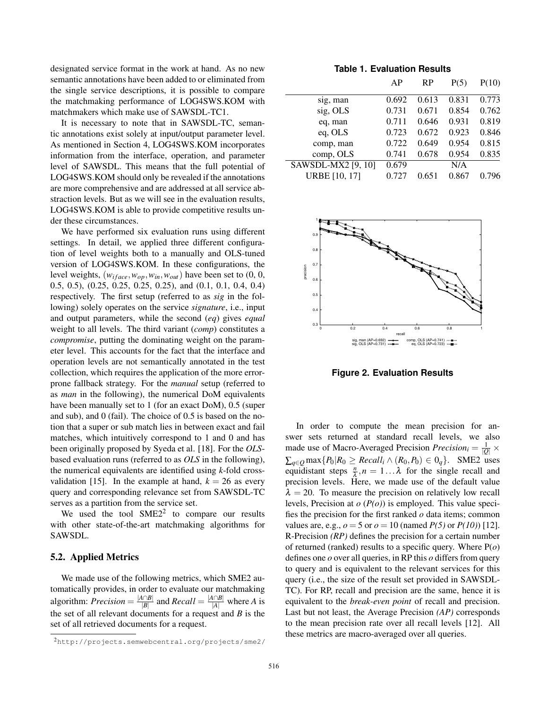designated service format in the work at hand. As no new semantic annotations have been added to or eliminated from the single service descriptions, it is possible to compare the matchmaking performance of LOG4SWS.KOM with matchmakers which make use of SAWSDL-TC1.

It is necessary to note that in SAWSDL-TC, semantic annotations exist solely at input/output parameter level. As mentioned in Section 4, LOG4SWS.KOM incorporates information from the interface, operation, and parameter level of SAWSDL. This means that the full potential of LOG4SWS.KOM should only be revealed if the annotations are more comprehensive and are addressed at all service abstraction levels. But as we will see in the evaluation results, LOG4SWS.KOM is able to provide competitive results under these circumstances.

We have performed six evaluation runs using different settings. In detail, we applied three different configuration of level weights both to a manually and OLS-tuned version of LOG4SWS.KOM. In these configurations, the level weights,  $(w_{iface}, w_{op}, w_{in}, w_{out})$  have been set to  $(0, 0, 0)$ 0.5, 0.5), (0.25, 0.25, 0.25, 0.25), and (0.1, 0.1, 0.4, 0.4) respectively. The first setup (referred to as *sig* in the following) solely operates on the service *signature*, i.e., input and output parameters, while the second (*eq*) gives *equal* weight to all levels. The third variant (*comp*) constitutes a *compromise*, putting the dominating weight on the parameter level. This accounts for the fact that the interface and operation levels are not semantically annotated in the test collection, which requires the application of the more errorprone fallback strategy. For the *manual* setup (referred to as *man* in the following), the numerical DoM equivalents have been manually set to 1 (for an exact DoM), 0.5 (super and sub), and 0 (fail). The choice of 0.5 is based on the notion that a super or sub match lies in between exact and fail matches, which intuitively correspond to 1 and 0 and has been originally proposed by Syeda et al. [18]. For the *OLS*based evaluation runs (referred to as *OLS* in the following), the numerical equivalents are identified using *k*-fold crossvalidation [15]. In the example at hand,  $k = 26$  as every query and corresponding relevance set from SAWSDL-TC serves as a partition from the service set.

We used the tool  $SME2<sup>2</sup>$  to compare our results with other state-of-the-art matchmaking algorithms for SAWSDL.

#### 5.2. Applied Metrics

We made use of the following metrics, which SME2 automatically provides, in order to evaluate our matchmaking algorithm: *Precision* =  $\frac{|A \cap B|}{|B|}$  and  $Recall = \frac{|A \cap B|}{|A|}$  where *A* is the set of all relevant documents for a request and *B* is the set of all retrieved documents for a request.

**Table 1. Evaluation Results** 

|                      | AP    | RP    | P(5)  | P(10) |
|----------------------|-------|-------|-------|-------|
| sig, man             | 0.692 | 0.613 | 0.831 | 0.773 |
| sig, OLS             | 0.731 | 0.671 | 0.854 | 0.762 |
| eq, man              | 0.711 | 0.646 | 0.931 | 0.819 |
| eq, OLS              | 0.723 | 0.672 | 0.923 | 0.846 |
| comp, man            | 0.722 | 0.649 | 0.954 | 0.815 |
| comp, OLS            | 0.741 | 0.678 | 0.954 | 0.835 |
| SAWSDL-MX2 [9, 10]   | 0.679 |       | N/A   |       |
| <b>URBE</b> [10, 17] | 0.727 | 0.651 | 0.867 | 0.796 |
|                      |       |       |       |       |



**Figure 2. Evaluation Results**

In order to compute the mean precision for answer sets returned at standard recall levels, we also made use of Macro-Averaged Precision *Precision*<sub>i</sub> =  $\frac{1}{|Q|} \times$  $\sum_{q \in Q} \max\{P_0 | R_0 \geq Recall_i \wedge (R_0, P_0) \in 0_q\}$ . SME2 uses equidistant steps  $\frac{n}{\lambda}$ ,  $n = 1... \lambda$  for the single recall and precision levels. Here, we made use of the default value  $\lambda = 20$ . To measure the precision on relatively low recall levels, Precision at *o* (*P(o)*) is employed. This value specifies the precision for the first ranked *o* data items; common values are, e.g.,  $o = 5$  or  $o = 10$  (named  $P(5)$  or  $P(10)$ ) [12]. R-Precision *(RP)* defines the precision for a certain number of returned (ranked) results to a specific query. Where P(*o*) defines one *o* over all queries, in RP this *o* differs from query to query and is equivalent to the relevant services for this query (i.e., the size of the result set provided in SAWSDL-TC). For RP, recall and precision are the same, hence it is equivalent to the *break-even point* of recall and precision. Last but not least, the Average Precision *(AP)* corresponds to the mean precision rate over all recall levels [12]. All these metrics are macro-averaged over all queries.

<sup>2</sup>http://projects.semwebcentral.org/projects/sme2/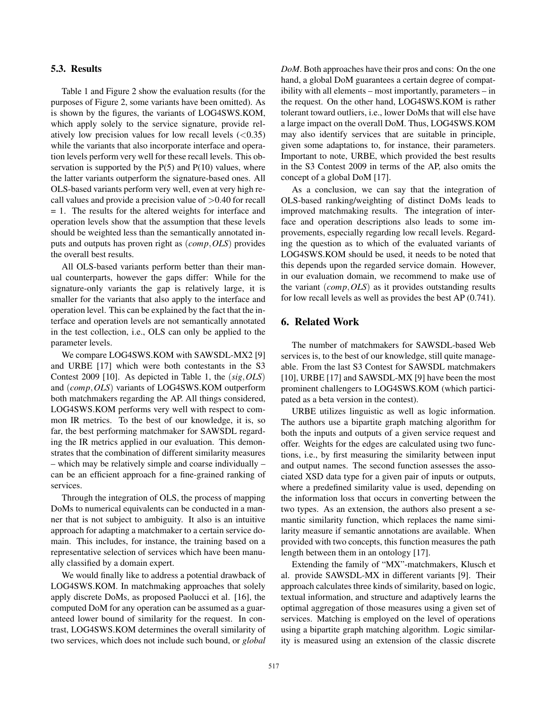## 5.3. Results

Table 1 and Figure 2 show the evaluation results (for the purposes of Figure 2, some variants have been omitted). As is shown by the figures, the variants of LOG4SWS.KOM, which apply solely to the service signature, provide relatively low precision values for low recall levels  $(< 0.35)$ while the variants that also incorporate interface and operation levels perform very well for these recall levels. This observation is supported by the  $P(5)$  and  $P(10)$  values, where the latter variants outperform the signature-based ones. All OLS-based variants perform very well, even at very high recall values and provide a precision value of >0.40 for recall = 1. The results for the altered weights for interface and operation levels show that the assumption that these levels should be weighted less than the semantically annotated inputs and outputs has proven right as (*comp*,*OLS*) provides the overall best results.

All OLS-based variants perform better than their manual counterparts, however the gaps differ: While for the signature-only variants the gap is relatively large, it is smaller for the variants that also apply to the interface and operation level. This can be explained by the fact that the interface and operation levels are not semantically annotated in the test collection, i.e., OLS can only be applied to the parameter levels.

We compare LOG4SWS.KOM with SAWSDL-MX2 [9] and URBE [17] which were both contestants in the S3 Contest 2009 [10]. As depicted in Table 1, the (*sig*,*OLS*) and (*comp*,*OLS*) variants of LOG4SWS.KOM outperform both matchmakers regarding the AP. All things considered, LOG4SWS.KOM performs very well with respect to common IR metrics. To the best of our knowledge, it is, so far, the best performing matchmaker for SAWSDL regarding the IR metrics applied in our evaluation. This demonstrates that the combination of different similarity measures – which may be relatively simple and coarse individually – can be an efficient approach for a fine-grained ranking of services.

Through the integration of OLS, the process of mapping DoMs to numerical equivalents can be conducted in a manner that is not subject to ambiguity. It also is an intuitive approach for adapting a matchmaker to a certain service domain. This includes, for instance, the training based on a representative selection of services which have been manually classified by a domain expert.

We would finally like to address a potential drawback of LOG4SWS.KOM. In matchmaking approaches that solely apply discrete DoMs, as proposed Paolucci et al. [16], the computed DoM for any operation can be assumed as a guaranteed lower bound of similarity for the request. In contrast, LOG4SWS.KOM determines the overall similarity of two services, which does not include such bound, or *global* *DoM*. Both approaches have their pros and cons: On the one hand, a global DoM guarantees a certain degree of compatibility with all elements – most importantly, parameters – in the request. On the other hand, LOG4SWS.KOM is rather tolerant toward outliers, i.e., lower DoMs that will else have a large impact on the overall DoM. Thus, LOG4SWS.KOM may also identify services that are suitable in principle, given some adaptations to, for instance, their parameters. Important to note, URBE, which provided the best results in the S3 Contest 2009 in terms of the AP, also omits the concept of a global DoM [17].

As a conclusion, we can say that the integration of OLS-based ranking/weighting of distinct DoMs leads to improved matchmaking results. The integration of interface and operation descriptions also leads to some improvements, especially regarding low recall levels. Regarding the question as to which of the evaluated variants of LOG4SWS.KOM should be used, it needs to be noted that this depends upon the regarded service domain. However, in our evaluation domain, we recommend to make use of the variant (*comp*,*OLS*) as it provides outstanding results for low recall levels as well as provides the best AP (0.741).

#### 6. Related Work

The number of matchmakers for SAWSDL-based Web services is, to the best of our knowledge, still quite manageable. From the last S3 Contest for SAWSDL matchmakers [10], URBE [17] and SAWSDL-MX [9] have been the most prominent challengers to LOG4SWS.KOM (which participated as a beta version in the contest).

URBE utilizes linguistic as well as logic information. The authors use a bipartite graph matching algorithm for both the inputs and outputs of a given service request and offer. Weights for the edges are calculated using two functions, i.e., by first measuring the similarity between input and output names. The second function assesses the associated XSD data type for a given pair of inputs or outputs, where a predefined similarity value is used, depending on the information loss that occurs in converting between the two types. As an extension, the authors also present a semantic similarity function, which replaces the name similarity measure if semantic annotations are available. When provided with two concepts, this function measures the path length between them in an ontology [17].

Extending the family of "MX"-matchmakers, Klusch et al. provide SAWSDL-MX in different variants [9]. Their approach calculates three kinds of similarity, based on logic, textual information, and structure and adaptively learns the optimal aggregation of those measures using a given set of services. Matching is employed on the level of operations using a bipartite graph matching algorithm. Logic similarity is measured using an extension of the classic discrete